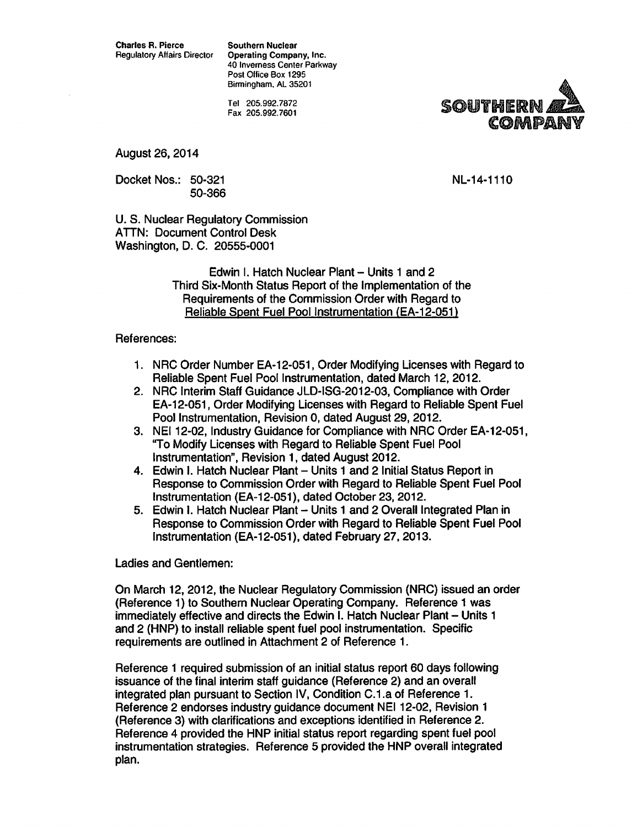Regulatory Affairs Director Operating Company, Inc. 40 Inverness Center Parkway Post Office Box 1295 Birmingham. AL 35201

> Tel 205.992.7872 Fax 205.992.7601



August 26, 2014

Docket Nos.: 50-321 50-366 NL-14-1110

U.S. Nuclear Regulatory Commission ATTN: Document Control Desk Washington, D. C. 20555-0001

> Edwin I. Hatch Nuclear Plant- Units 1 and 2 Third Six-Month Status Report of the Implementation of the Requirements of the Commission Order with Regard to Reliable Spent Fuel Pool Instrumentation (EA-12-051)

#### References:

- 1. NRC Order Number EA-12-051, Order Modifying Licenses with Regard to Reliable Spent Fuel Pool Instrumentation, dated March 12, 2012.
- 2. NRC Interim Staff Guidance JLD-ISG-2012-03, Compliance with Order EA-12-051, Order Modifying Licenses with Regard to Reliable Spent Fuel Pool Instrumentation, Revision 0, dated August 29, 2012.
- 3. NEI 12-02, Industry Guidance for Compliance with NRC Order EA-12-051, ''To Modify Licenses with Regard to Reliable Spent Fuel Pool Instrumentation", Revision 1, dated August 2012.
- 4. Edwin I. Hatch Nuclear Plant Units 1 and 2 Initial Status Report in Response to Commission Order with Regard to Reliable Spent Fuel Pool Instrumentation (EA-12-051), dated October 23, 2012.
- 5. Edwin I. Hatch Nuclear Plant Units 1 and 2 Overall Integrated Plan in Response to Commission Order with Regard to Reliable Spent Fuel Pool Instrumentation (EA-12-051), dated February 27, 2013.

#### Ladies and Gentlemen:

On March 12, 2012, the Nuclear Regulatory Commission (NRC) issued an order (Reference 1) to Southern Nuclear Operating Company. Reference 1 was immediately effective and directs the Edwin I. Hatch Nuclear Plant - Units 1 and 2 (HNP) to install reliable spent fuel pool instrumentation. Specific requirements are outlined in Attachment 2 of Reference 1.

Reference 1 required submission of an initial status report 60 days following issuance of the final interim staff guidance (Reference 2) and an overall integrated plan pursuant to Section IV, Condition C.1.a of Reference 1. Reference 2 endorses industry guidance document NEI 12-02, Revision 1 (Reference 3) with clarifications and exceptions identified in Reference 2. Reference 4 provided the HNP initial status report regarding spent fuel pool instrumentation strategies. Reference 5 provided the HNP overall integrated plan.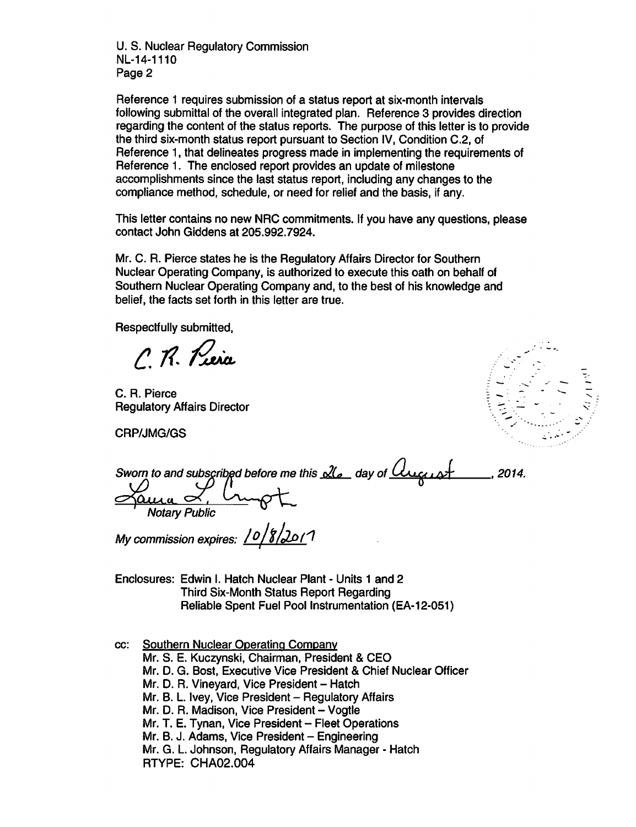U.S. Nuclear Regulatory Commission NL-14-1110 Page 2

Reference 1 requires submission of a status report at six-month intervals following submittal of the overall integrated plan. Reference 3 provides direction regarding the content of the status reports. The purpose of this letter is to provide the third six-month status report pursuant to Section IV, Condition C.2, of Reference 1, that delineates progress made in implementing the requirements of Reference 1. The enclosed report provides an update of milestone accomplishments since the last status report, including any changes to the compliance method, schedule, or need for relief and the basis, if any.

This letter contains no new NRC commitments. If you have any questions, please contact John Giddens at 205.992.7924.

Mr. C. A. Pierce states he is the Regulatory Affairs Director for Southern Nuclear Operating Company, is authorized to execute this oath on behalf of Southern Nuclear Operating Company and, to the best of his knowledge and belief, the facts set forth in this letter are true.

Respectfully submitted,

 $\Gamma$  R. Piera

C. A. Pierce Regulatory Affairs Director

CRP/JMG/GS



| Sworn to and subscribed before me this $d\ell$ day of $\ell$ | 2014 |
|--------------------------------------------------------------|------|
|                                                              |      |
| <b>Notary Public</b>                                         |      |

My commission expires: <u>10/8/201</u>1

Enclosures: Edwin I. Hatch Nuclear Plant - Units 1 and 2 Third Six-Month Status Report Regarding Reliable Spent Fuel Pool Instrumentation (EA-12-051)

cc: Southern Nuclear Operating Company

Mr. S. E. Kuczynski, Chairman, President & CEO

Mr. D. G. Bost, Executive Vice President & Chief Nuclear Officer

Mr. D. R. Vineyard, Vice President - Hatch

Mr. B. L. Ivey, Vice President - Regulatory Affairs

Mr. D. R. Madison, Vice President - Vogtle

Mr. T. E. Tynan, Vice President - Fleet Operations

Mr. B. J. Adams, Vice President - Engineering

Mr. G. L. Johnson, Regulatory Affairs Manager- Hatch

RTYPE: CHA02.004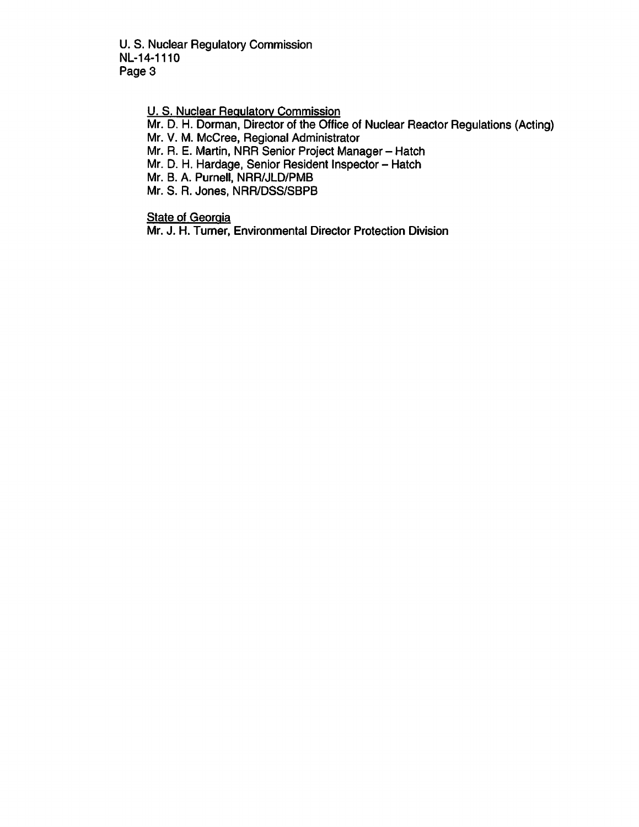U.S. Nuclear Regulatory Commission NL-14-1110 Page 3

U. S. Nuclear Regulatory Commission

Mr. D. H. Dorman, Director of the Office of Nuclear Reactor Regulations (Acting)

Mr. V. M. McCree, Regional Administrator

Mr. R. E. Martin, NRR Senior Project Manager- Hatch

Mr. D. H. Hardage, Senior Resident Inspector- Hatch

Mr. B. A. Purnell, NRRJJLD/PMB

Mr. S. R. Jones, NRRIDSS/SBPB

**State of Georgia** 

Mr. J. H. Turner, Environmental Director Protection Division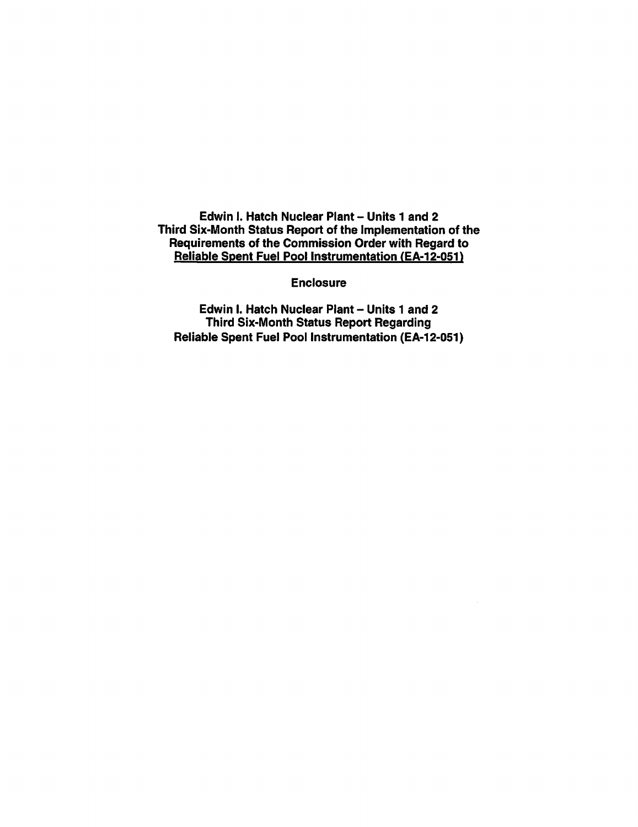Edwin I. Hatch Nuclear Plant- Units 1 and 2 Third Six-Month Status Report of the Implementation of the Requirements of the Commission Order with Regard to Reliable Spent Fuel Pool Instrumentation (EA-12-051)

**Enclosure** 

Edwin I. Hatch Nuclear Plant - Units 1 and 2 Third Six-Month Status Report Regarding Reliable Spent Fuel Pool Instrumentation (EA-12-051)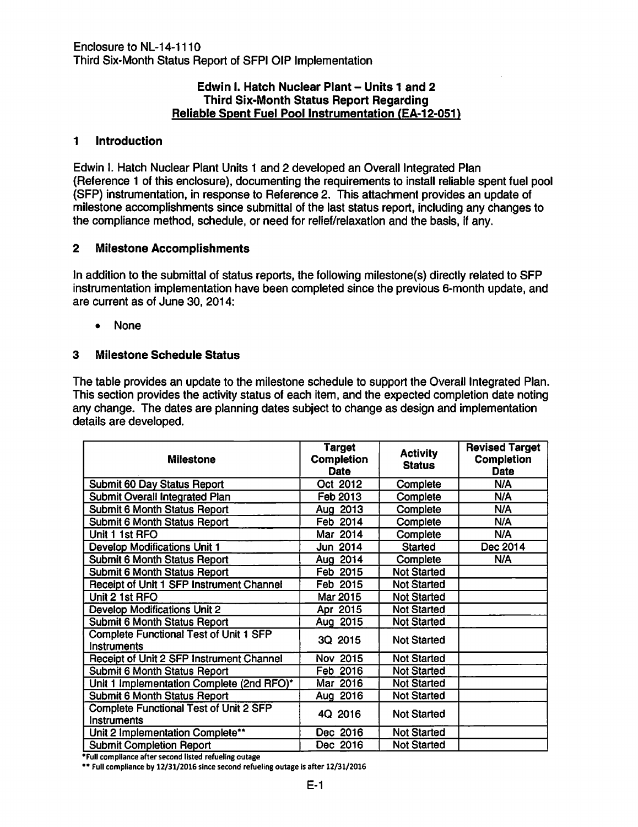#### Edwin I. Hatch Nuclear Plant- Units 1 and 2 Third Six-Month Status Report Regarding **Reliable Spent Fuel Pool Instrumentation (EA-12-051)**

### 1 Introduction

Edwin I. Hatch Nuclear Plant Units 1 and 2 developed an Overall Integrated Plan (Reference 1 of this enclosure), documenting the requirements to install reliable spent fuel pool (SFP) instrumentation, in response to Reference 2. This attachment provides an update of milestone accomplishments since submittal of the last status report, including any changes to the compliance method, schedule, or need for relief/relaxation and the basis, if any.

### 2 Milestone Accomplishments

In addition to the submittal of status reports, the following milestone(s) directly related to SFP instrumentation implementation have been completed since the previous 6-month update, and are current as of June 30, 2014:

• None

### 3 Milestone Schedule Status

The table provides an update to the milestone schedule to support the Overall Integrated Plan. This section provides the activity status of each item, and the expected completion date noting any change. The dates are planning dates subject to change as design and implementation details are developed.

| <b>Milestone</b>                                                    | <b>Target</b><br><b>Completion</b><br><b>Date</b> | <b>Activity</b><br><b>Status</b> | <b>Revised Target</b><br><b>Completion</b><br><b>Date</b> |
|---------------------------------------------------------------------|---------------------------------------------------|----------------------------------|-----------------------------------------------------------|
| Submit 60 Day Status Report                                         | Oct 2012                                          | Complete                         | N/A                                                       |
| Submit Overall Integrated Plan                                      | Feb 2013                                          | Complete                         | N/A                                                       |
| <b>Submit 6 Month Status Report</b>                                 | Aug 2013                                          | Complete                         | N/A                                                       |
| Submit 6 Month Status Report                                        | Feb 2014                                          | Complete                         | N/A                                                       |
| Unit 1 1st RFO                                                      | Mar 2014                                          | Complete                         | N/A                                                       |
| <b>Develop Modifications Unit 1</b>                                 | Jun 2014                                          | <b>Started</b>                   | Dec 2014                                                  |
| <b>Submit 6 Month Status Report</b>                                 | Aug 2014                                          | Complete                         | N/A                                                       |
| <b>Submit 6 Month Status Report</b>                                 | Feb 2015                                          | <b>Not Started</b>               |                                                           |
| Receipt of Unit 1 SFP Instrument Channel                            | Feb 2015                                          | <b>Not Started</b>               |                                                           |
| Unit 2 1st RFO                                                      | Mar 2015                                          | <b>Not Started</b>               |                                                           |
| <b>Develop Modifications Unit 2</b>                                 | Apr 2015                                          | <b>Not Started</b>               |                                                           |
| <b>Submit 6 Month Status Report</b>                                 | Aug 2015                                          | <b>Not Started</b>               |                                                           |
| <b>Complete Functional Test of Unit 1 SFP</b><br><b>Instruments</b> | 3Q 2015                                           | <b>Not Started</b>               |                                                           |
| Receipt of Unit 2 SFP Instrument Channel                            | Nov 2015                                          | <b>Not Started</b>               |                                                           |
| Submit 6 Month Status Report                                        | Feb 2016                                          | <b>Not Started</b>               |                                                           |
| Unit 1 Implementation Complete (2nd RFO)*                           | Mar 2016                                          | <b>Not Started</b>               |                                                           |
| <b>Submit 6 Month Status Report</b>                                 | Aug 2016                                          | <b>Not Started</b>               |                                                           |
| Complete Functional Test of Unit 2 SFP<br>Instruments               | 4Q 2016                                           | <b>Not Started</b>               |                                                           |
| Unit 2 Implementation Complete**                                    | Dec 2016                                          | <b>Not Started</b>               |                                                           |
| <b>Submit Completion Report</b><br>$-1.111 - 1.111 - 1.111 - 1.111$ | Dec 2016                                          | <b>Not Started</b>               |                                                           |

\*Full compliance after second hsted refueling outage

•• Full compliance by 12/31/2016 since second refueling outage is after 12/31/2016